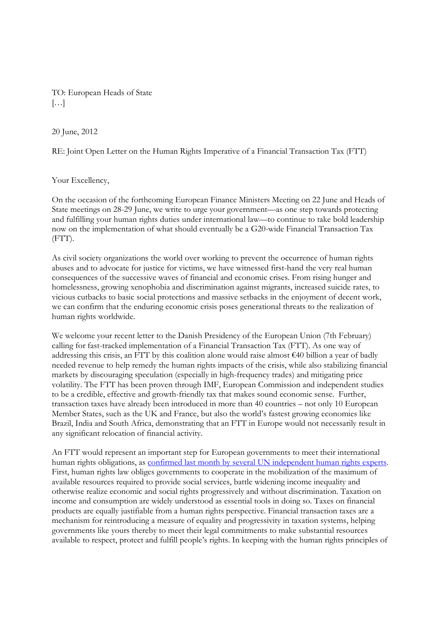TO: European Heads of State […]

20 June, 2012

RE: Joint Open Letter on the Human Rights Imperative of a Financial Transaction Tax (FTT)

Your Excellency,

On the occasion of the forthcoming European Finance Ministers Meeting on 22 June and Heads of State meetings on 28-29 June, we write to urge your government—as one step towards protecting and fulfilling your human rights duties under international law—to continue to take bold leadership now on the implementation of what should eventually be a G20-wide Financial Transaction Tax  $(FTT)$ .

As civil society organizations the world over working to prevent the occurrence of human rights abuses and to advocate for justice for victims, we have witnessed first-hand the very real human consequences of the successive waves of financial and economic crises. From rising hunger and homelessness, growing xenophobia and discrimination against migrants, increased suicide rates, to vicious cutbacks to basic social protections and massive setbacks in the enjoyment of decent work, we can confirm that the enduring economic crisis poses generational threats to the realization of human rights worldwide.

We welcome your recent letter to the Danish Presidency of the European Union (7th February) calling for fast-tracked implementation of a Financial Transaction Tax (FTT). As one way of addressing this crisis, an FTT by this coalition alone would raise almost €40 billion a year of badly needed revenue to help remedy the human rights impacts of the crisis, while also stabilizing financial markets by discouraging speculation (especially in high-frequency trades) and mitigating price volatility. The FTT has been proven through IMF, European Commission and independent studies to be a credible, effective and growth-friendly tax that makes sound economic sense. Further, transaction taxes have already been introduced in more than 40 countries – not only 10 European Member States, such as the UK and France, but also the world's fastest growing economies like Brazil, India and South Africa, demonstrating that an FTT in Europe would not necessarily result in any significant relocation of financial activity.

An FTT would represent an important step for European governments to meet their international human rights obligations, as confirmed last month by several UN independent human rights experts. First, human rights law obliges governments to cooperate in the mobilization of the maximum of available resources required to provide social services, battle widening income inequality and otherwise realize economic and social rights progressively and without discrimination. Taxation on income and consumption are widely understood as essential tools in doing so. Taxes on financial products are equally justifiable from a human rights perspective. Financial transaction taxes are a mechanism for reintroducing a measure of equality and progressivity in taxation systems, helping governments like yours thereby to meet their legal commitments to make substantial resources available to respect, protect and fulfill people's rights. In keeping with the human rights principles of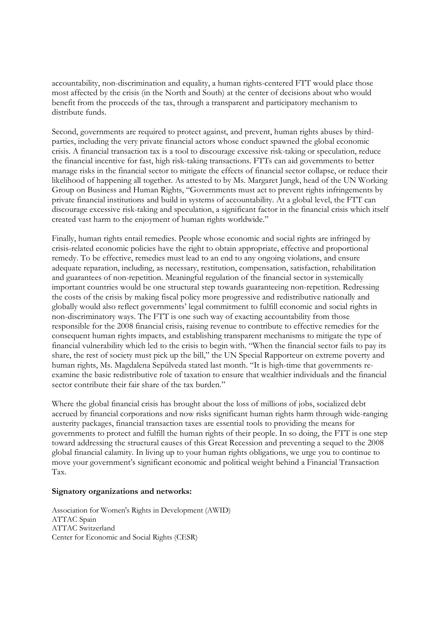accountability, non-discrimination and equality, a human rights-centered FTT would place those most affected by the crisis (in the North and South) at the center of decisions about who would benefit from the proceeds of the tax, through a transparent and participatory mechanism to distribute funds.

Second, governments are required to protect against, and prevent, human rights abuses by thirdparties, including the very private financial actors whose conduct spawned the global economic crisis. A financial transaction tax is a tool to discourage excessive risk-taking or speculation, reduce the financial incentive for fast, high risk-taking transactions. FTTs can aid governments to better manage risks in the financial sector to mitigate the effects of financial sector collapse, or reduce their likelihood of happening all together. As attested to by Ms. Margaret Jungk, head of the UN Working Group on Business and Human Rights, "Governments must act to prevent rights infringements by private financial institutions and build in systems of accountability. At a global level, the FTT can discourage excessive risk-taking and speculation, a significant factor in the financial crisis which itself created vast harm to the enjoyment of human rights worldwide."

Finally, human rights entail remedies. People whose economic and social rights are infringed by crisis-related economic policies have the right to obtain appropriate, effective and proportional remedy. To be effective, remedies must lead to an end to any ongoing violations, and ensure adequate reparation, including, as necessary, restitution, compensation, satisfaction, rehabilitation and guarantees of non-repetition. Meaningful regulation of the financial sector in systemically important countries would be one structural step towards guaranteeing non-repetition. Redressing the costs of the crisis by making fiscal policy more progressive and redistributive nationally and globally would also reflect governments' legal commitment to fulfill economic and social rights in non-discriminatory ways. The FTT is one such way of exacting accountability from those responsible for the 2008 financial crisis, raising revenue to contribute to effective remedies for the consequent human rights impacts, and establishing transparent mechanisms to mitigate the type of financial vulnerability which led to the crisis to begin with. "When the financial sector fails to pay its share, the rest of society must pick up the bill," the UN Special Rapporteur on extreme poverty and human rights, Ms. Magdalena Sepúlveda stated last month. "It is high-time that governments reexamine the basic redistributive role of taxation to ensure that wealthier individuals and the financial sector contribute their fair share of the tax burden."

Where the global financial crisis has brought about the loss of millions of jobs, socialized debt accrued by financial corporations and now risks significant human rights harm through wide-ranging austerity packages, financial transaction taxes are essential tools to providing the means for governments to protect and fulfill the human rights of their people. In so doing, the FTT is one step toward addressing the structural causes of this Great Recession and preventing a sequel to the 2008 global financial calamity. In living up to your human rights obligations, we urge you to continue to move your government's significant economic and political weight behind a Financial Transaction Tax.

## **Signatory organizations and networks:**

Association for Women's Rights in Development (AWID) ATTAC Spain ATTAC Switzerland Center for Economic and Social Rights (CESR)